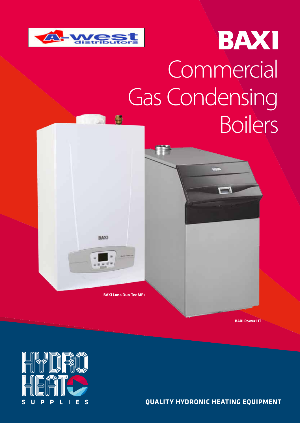

# BAXI **Commercial** Gas Condensing **Boilers**

**BAXI Luna Duo-Tec MP+**

**BAXI** 

**A** 

**BAXI Power HT**



**QUALITY HYDRONIC HEATING EQUIPMENT**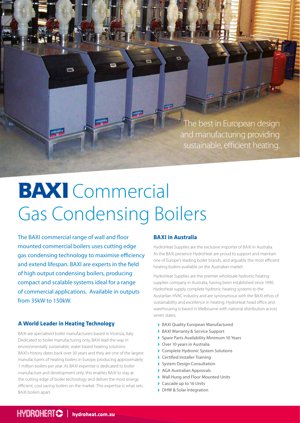The best in European design and manufacturing providing sustainable, efficient heating.

## **BAXI** Commercial Gas Condensing Boilers

÷

The BAXI commercial range of wall and floor mounted commercial boilers uses cutting edge gas condensing technology to maximise efficiency and extend lifespan. BAXI are experts in the field of high output condensing boilers, producing compact and scalable systems ideal for a range of commercial applications. Available in outputs from 35kW to 150kW.

## **A World Leader in Heating Technology**

BAXI are specialised boiler manufacturers based in Vicenza, Italy. Dedicated to boiler manufacturing only, BAXI lead the way in environmentally sustainable, water based heating solutions. BAXI's history dates back over 30 years and they are one of the largest manufacturers of heating boilers in Europe, producing approximately 1 million boilers per year. As BAXI expertise is dedicated to boiler manufacture and development only, this enables BAXI to stay at the cutting edge of boiler technology and deliver the most energy efficient, cost saving boilers on the market. This expertise is what sets BAXI boilers apart.

## **BAXI in Australia**

 $\overline{\mathbf{C}}$ 

HydroHeat Supplies are the exclusive importer of BAXI in Australia. As the BAXI presence HydroHeat are proud to support and maintain one of Europe's leading boiler brands, and arguably the most efficient heating boilers available on the Australian market.

HydroHeat Supplies are the premier wholesale hydronic heating supplies company in Australia, having been established since 1990. HydroHeat supply complete hydronic heating systems to the Austarlian HVAC industry and are synonymous with the BAXI ethos of sustainability and excellence in heating. HydroHeat head office and warehousing is based in Melbourne with national distribution across seven states.

- BAXI Quality European Manufactured
- **BAXI Warranty & Service Support**
- Spare Parts Availability Minimum 10 Years
- **>** Over 10 years in Australia
- **Complete Hydronic System Solutions**
- Certified Installer Training
- System Design Consultation
- **AGA Australian Approvals**
- Wall Hung and Floor Mounted Units
- **Cascade up to 16 Units**
- > DHW & Solar Integration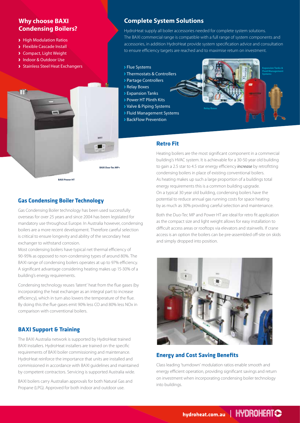## **Why choose BAXI Condensing Boilers?**

- > High Modulation Ratios
- Flexible Cascade Install
- Compact, Light Weight
- **Indoor & Outdoor Use**

m

Stainless Steel Heat Exchangers

## **Complete System Solutions**

HydroHeat supply all boiler accessories needed for complete system solutions. The BAXI commercial range is compatible with a full range of system components and accessories, in addition HydroHeat provide system specification advice and consultation to ensure efficiency targets are reached and to maximise return on investment.

#### Flue Systems

- **Thermostats & Controllers**
- Partage Controllers
- **Relay Boxes**
- Expansion Tanks
- Power HT Plinth Kits
- Valve & Piping Systems
- Fluid Management Systems
- BackFlow Prevention



#### **Retro Fit**

Heating boilers are the most significant component in a commercial building's HVAC system. It is achievable for a 30-50 year old building to gain a 2.5 star to 4.5 star energy efficiency *increase* by retrofitting condensing boilers in place of existing conventional boilers. As heating makes up such a large proportion of a buildings total energy requirements this is a common building upgrade. On a typical 30 year old building, condensing boilers have the potential to reduce annual gas running costs for space heating by as much as 30% providing careful selection and maintenance.

Both the Duo-Tec MP and Power HT are ideal for retro fit application as the compact size and light weight allows for easy installation to difficult access areas or rooftops via elevators and stairwells. If crane access is an option the boilers can be pre-assembled off-site on skids and simply dropped into position.



## **Energy and Cost Saving Benefits**

Class leading 'turndown' modulation ratios enable smooth and energy efficient operation, providing significant savings and return on investment when incorporating condensing boiler technology into buildings.

## **Gas Condensing Boiler Technology**

**BAXI Power HT**

Gas Condensing Boiler technology has been used successfully overseas for over 25 years and since 2004 has been legislated for mandatory use throughout Europe. In Australia however, condensing boilers are a more recent development. Therefore careful selection is critical to ensure longevity and ability of the secondary heat exchanger to withstand corrosion.

**BAXI Duo-Tec MP+**

Most condensing boilers have typical net thermal efficiency of 90-95% as opposed to non-condensing types of around 80%. The BAXI range of condensing boilers operates at up to 97% efficiency. A significant advantage considering heating makes up 15-30% of a building's energy requirements.

Condensing technology reuses 'latent' heat from the flue gases (by incorporating the heat exchanger as an integral part to increase efficiency), which in turn also lowers the temperature of the flue. By doing this the flue gases emit 90% less CO and 80% less NOx in comparison with conventional boilers.

## **BAXI Support & Training**

The BAXI Australia network is supported by HydroHeat trained BAXI installers. HydroHeat installers are trained on the specific requirements of BAXI boiler commissioning and maintenance. HydroHeat reinforce the importance that units are installed and commissioned in accordance with BAXI guidelines and maintained by competent contractors. Servicing is supported Australia wide.

BAXI boilers carry Australian approvals for both Natural Gas and Propane (LPG). Approved for both indoor and outdoor use.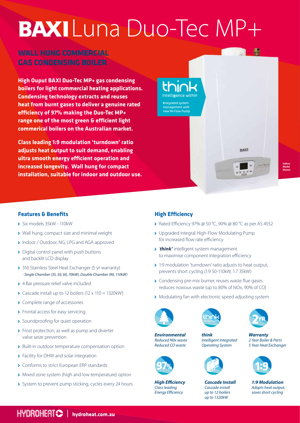# BAXI Luna Duo-Tec MP+

## **WALL HUNG COMMERCIAL GAS CONDENSING BOILER**

**High Ouput BAXI Duo-Tec MP+ gas condensing boilers for light commercial heating applications. Condensing technology extracts and reuses heat from burnt gases to deliver a genuine rated efficiency of 97% making the Duo-Tec MP+ range one of the most green & efficient light commerical boilers on the Australian market.** 

**Class leading 1:9 modulation 'turndown' ratio adjusts heat output to suit demand, enabling ultra smooth energy efficient operation and increased longevity. Wall hung for compact installation, suitable for indoor and outdoor use.**



**Indoor Model**

## **Features & Benefits**

- Six models 35kW 110kW
- Wall hung, compact size and minimal weight
- Indoor / Outdoor, NG, LPG and AGA approved
- Digital control panel with push buttons and backlit LCD display
- ◆ 316 Stainless Steel Heat Exchanger (5 yr warranty) *- Single Chamber (35, 50, 60, 70kW), Double Chamber (90, 110kW)*
- ▶ 4 Bar pressure relief valve included
- $\sum$  Cascade install up to 12 boilers (12 x 110 = 1320kW)
- **Complete range of accessories**
- **>** Frontal access for easy servicing
- **>** Soundproofing for quiet operation
- **>** Frost protection, as well as pump and diverter valve seize prevention
- **>** Built-in outdoor temperature compensation option
- **>** Facility for DHW and solar integration
- **Conforms to strict European ERP standards**
- Mixed zone system (high and low temperature) option
- **>** System to prevent pump sticking, cycles every 24 hours **High Efficiency**

## **High Efficiency**

- Rated Efficiency 97% @ 50 °C, 90% @ 80 °C as per AS 4552
- Upgraded integral High-Flow Modulating Pump for increased flow rate efficiency
- '*think'* intelligent system management to maximise component integration efficiency
- ◆ 1:9 modulation 'turndown' ratio adjusts to heat output, prevents short cycling (1:9 50-110kW, 1:7 35kW)
- **>** Condensing pre-mix burner, reuses waste flue gases reduces noxious waste (up to 80% of NOx, 90% of CO)
- **Modulating fan with electronic speed adjusting system**



*Environmental Reduced N0x waste Reduced CO waste*

*Class leading Energy Efficiency*





*think Intelligent Integrated Operating System*



*Cascade Install Cascade install up to 12 boilers up to 1320kW* 



*Warranty 2 Year Boiler & Parts 5 Year Heat Exchanger* 



*1:9 Modulation Adapts heat output, saves short cycling*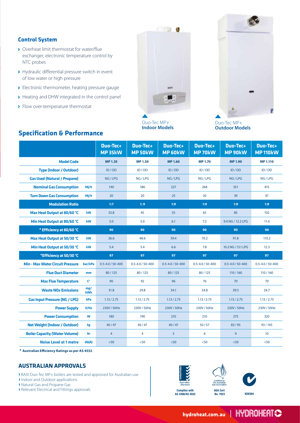### **Control System**

- ▶ Overheat limit thermostat for water/flue exchanger, electronic temperature control by NTC probes
- > Hydraulic differential pressure switch in event of low water or high pressure
- **Electronic thermometer, heating pressure gauge**
- Heating and DHW integrated in the control panel
- > Flow over-temperature thermostat



Duo-Tec MP+ **Indoor Models**



Duo-Tec MP+ **Outdoor Models**

|                                         |                   | <b>Duo-Tec+</b><br>MP35kW | Duo-Tec+<br><b>MP 50kW</b> | <b>Duo-Tec+</b><br><b>MP 60kW</b> | Duo-Tec+<br><b>MP70kW</b> | Duo-Tec+<br>MP 90kW    | Duo-Tec+<br><b>MP 110kW</b> |
|-----------------------------------------|-------------------|---------------------------|----------------------------|-----------------------------------|---------------------------|------------------------|-----------------------------|
| <b>Model Code</b>                       |                   | <b>MP1.35</b>             | <b>MP1.50</b>              | <b>MP1.60</b>                     | <b>MP 1.70</b>            | <b>MP1.90</b>          | <b>MP 1.110</b>             |
| <b>Type (Indoor / Outdoor)</b>          |                   | ID / OD                   | ID / OD                    | ID / OD                           | ID / OD                   | ID / OD                | ID / OD                     |
| <b>Gas Used (Natural / Propane)</b>     |                   | NG/LPG                    | NG/LPG                     | NG/LPG                            | NG/LPG                    | NG/LPG                 | NG/LPG                      |
| <b>Nominal Gas Consumption</b>          | MJ/h              | 140                       | 186                        | 227                               | 268                       | 351                    | 415                         |
| <b>Turn Down Gas Consumption</b>        | M/h               | 20                        | 20                         | 25                                | 30                        | 39                     | 47                          |
| <b>Modulation Ratio</b>                 |                   | 1:7                       | 1:9                        | 1:9                               | 1:9                       | 1:9                    | 1:9                         |
| Max Heat Output at 80/60 °C             | kW                | 33.8                      | 45                         | 55                                | 65                        | 85                     | 102                         |
| Min Heat Output at 80/60 °C             | kW                | 5.0                       | 5.0                        | 6.1                               | 7.2                       | 9.4 NG / 12.2 LPG      | 11.4                        |
| * Efficiency at 80/60 °C                |                   | 90                        | 90                         | 90                                | 90                        | 90                     | 90                          |
| Max Heat Output at 50/30 °C             | kW                | 36.6                      | 48.6                       | 59.4                              | 70.2                      | 91.8                   | 110.2                       |
| Min Heat Output at 50/30 °C             | kW                | 5.4                       | 5.4                        | 6.6                               | 7.8                       | 10.2 NG / 13.1 LPG     | 12.3                        |
| *Efficiency at 50/30 °C                 |                   | 97                        | 97                         | 97                                | 97                        | 97                     | 97                          |
| <b>Min - Max Water Circuit Pressure</b> | bar/kPa           | $0.5 - 4.0 / 50 - 400$    | $0.5 - 4.0 / 50 - 400$     | $0.5 - 4.0 / 50 - 400$            | $0.5 - 4.0 / 50 - 400$    | $0.5 - 4.0 / 50 - 400$ | $0.5 - 4.0 / 50 - 400$      |
| <b>Flue Duct Diameter</b>               | mm                | 80/125                    | 80/125                     | 80/125                            | 80/125                    | 110/160                | 110/160                     |
| <b>Max Flue Temperature</b>             | C°                | 90                        | 92                         | 96                                | 76                        | 70                     | 70                          |
| <b>Waste NOx Emissions</b>              | mg/<br><b>kWh</b> | 31.8                      | 29.8                       | 34.1                              | 34.8                      | 39.5                   | 24.7                        |
| <b>Gas Input Pressure (NG / LPG)</b>    | kPa               | 1.13 / 2.75               | 1.13 / 2.75                | 1.13 / 2.75                       | 1.13 / 2.75               | 1.13 / 2.75            | 1.13 / 2.75                 |
|                                         |                   |                           |                            |                                   |                           |                        |                             |
| <b>Power Supply</b>                     | V/Hz              | 230V / 50Hz               | 230V / 50Hz                | 230V / 50Hz                       | 230V / 50Hz               | 230V / 50Hz            | 230V / 50Hz                 |
| <b>Power Consumption</b>                | W                 | 180                       | 190                        | 210                               | 210                       | 275                    | 320                         |
| <b>Net Weight (Indoor / Outdoor)</b>    | kg                | 40/47                     | 40/47                      | 40/47                             | 50/57                     | 83/95                  | 93/105                      |
| <b>Boiler Capacity (Water Volume)</b>   | ltr               | $\overline{4}$            | 4                          | $\overline{5}$                    | 6                         | 9                      | 10                          |

## **Specification & Performance**

**\* Australian Efficiency Ratings as per AS 4552**

## **AUSTRALIAN APPROVALS**

BAXI Duo-Tec MP+ boilers are tested and approved for Australian use

Indoor and Outdoor applications

Natural Gas and Propane Gas

Relevant Electrical and Fittings approvals







**Complies with AS 3498/AS 4552**

**N28384**

HYDROHEATS hydroheat.com.au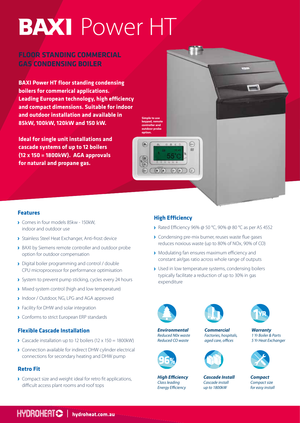## **BAXI** Power HT

## **FLOOR STANDING COMMERCIAL GAS CONDENSING BOILER**

**BAXI Power HT floor standing condensing boilers for commerical applications. Leading European technology, high efficiency and compact dimensions. Suitable for indoor and outdoor installation and available in 85kW, 100kW, 120kW and 150 kW.** 

**Ideal for single unit installations and cascade systems of up to 12 boilers (12 x 150 = 1800kW). AGA approvals for natural and propane gas.** 



## **Features**

- Comes in four models 85kw 150kW, indoor and outdoor use
- Stainless Steel Heat Exchanger, Anti-frost device
- **BAXI by Siemens remote controller and outdoor probe** option for outdoor compensation
- Digital boiler programming and control / double CPU microprocessor for performance optimisation
- System to prevent pump sticking, cycles every 24 hours
- Mixed system control (high and low temperature)
- **Indoor / Outdoor, NG, LPG and AGA approved**
- **>** Facility for DHW and solar integration
- **Conforms to strict European ERP standards**

### **Flexible Cascade Installation**

- $\sum$  Cascade installation up to 12 boilers (12 x 150 = 1800kW)
- Connection available for indirect DHW cylinder electrical connections for secondary heating and DHW pump

## **Retro Fit**

**Compact size and weight ideal for retro fit applications,** difficult access plant rooms and roof tops

## **High Efficiency**

**option.**

仁

- ▶ Rated Efficiency 96% @ 50 °C, 90% @ 80 °C as per AS 4552
- **Condensing pre-mix burner, reuses waste flue gases** reduces noxious waste (up to 80% of NOx, 90% of CO)
- Modulating fan ensures maximum efficiency and constant air/gas ratio across whole range of outputs
- Used in low temperature systems, condensing boilers typically facilitate a reduction of up to 30% in gas expenditure



*Environmental Reduced N0x waste Reduced CO waste*

*High Efficiency Class leading Energy Efficiency*







#### *Cascade Install Cascade install up to 1800kW*



*Warranty 1 Yr Boiler & Parts 5 Yr Heat Exchanger* 



*Compact Compact size for easy install*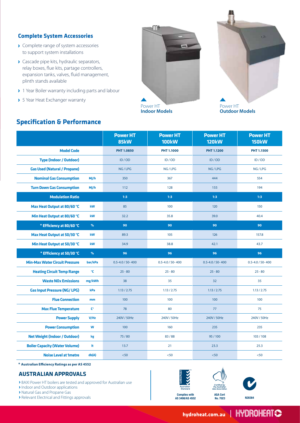### **Complete System Accessories**

- > Complete range of system accessories to support system installations
- Cascade pipe kits, hydraulic separators, relay boxes, flue kits, partage controllers, expansion tanks, valves, fluid management, plinth stands available
- ▶ 1 Year Boiler warranty including parts and labour
- **>** 5 Year Heat Exchanger warranty

**Specification & Performance**





**Outdoor Models**

|                                       |                    | <b>Power HT</b><br>85kW | <b>Power HT</b><br><b>100kW</b> | <b>Power HT</b><br><b>120kW</b> | <b>Power HT</b><br><b>150kW</b> |
|---------------------------------------|--------------------|-------------------------|---------------------------------|---------------------------------|---------------------------------|
| <b>Model Code</b>                     |                    | <b>PHT 1.0850</b>       | PHT 1.1000                      | PHT 1.1200                      | PHT 1.1500                      |
| <b>Type (Indoor / Outdoor)</b>        |                    | ID / OD                 | ID/OD                           | ID/OD                           | ID / OD                         |
| <b>Gas Used (Natural / Propane)</b>   |                    | NG/LPG                  | NG/LPG                          | NG/LPG                          | NG/LPG                          |
| <b>Nominal Gas Consumption</b>        | MJ/h               | 350                     | 367                             | 444                             | 554                             |
| <b>Turn Down Gas Consumption</b>      | MJ/h               | 112                     | 128                             | 155                             | 194                             |
| <b>Modulation Ratio</b>               |                    | 1:3                     | 1:3                             | 1:3                             | 1:3                             |
| Max Heat Output at 80/60 °C           | kW                 | 85                      | 100                             | 120                             | 150                             |
| Min Heat Output at 80/60 °C           | kW                 | 32.2                    | 35.8                            | 39.0                            | 40.4                            |
| * Efficiency at 80/60 °C              | $\%$               | 90                      | 90                              | 90                              | 90                              |
| Max Heat Output at 50/30 °C           | kW                 | 89.3                    | 105                             | 126                             | 157.8                           |
| Min Heat Output at 50/30 °C           | kW                 | 34.9                    | 38.8                            | 42.1                            | 43.7                            |
| * Efficiency at 50/30 °C              | $\%$               | 96                      | 96                              | 96                              | 96                              |
| <b>Min-Max Water Circuit Pressure</b> | bar/kPa            | $0.5 - 4.0 / 50 - 400$  | $0.5 - 4.0 / 50 - 400$          | $0.5 - 4.0 / 50 - 400$          | $0.5 - 4.0 / 50 - 400$          |
| <b>Heating Circuit Temp Range</b>     | °C                 | $25 - 80$               | $25 - 80$                       | $25 - 80$                       | $25 - 80$                       |
| <b>Waste NOx Emissions</b>            | mg/kWh             | 38                      | 35                              | 32                              | 35                              |
| <b>Gas Input Pressure (NG/ LPG)</b>   | kPa                | 1.13 / 2.75             | 1.13 / 2.75                     | 1.13 / 2.75                     | 1.13 / 2.75                     |
| <b>Flue Connection</b>                | mm                 | 100                     | 100                             | 100                             | 100                             |
| <b>Max Flue Temperature</b>           | $\mathsf{C}^\circ$ | 78                      | 80                              | 77                              | 75                              |
| <b>Power Supply</b>                   | V/Hz               | 240V / 50Hz             | 240V / 50Hz                     | 240V / 50Hz                     | 240V / 50Hz                     |
| <b>Power Consumption</b>              | W                  | 100                     | 160                             | 235                             | 235                             |
| <b>Net Weight (Indoor / Outdoor)</b>  | kg                 | 75/80                   | 83/88                           | 95/100                          | 103/108                         |
| <b>Boiler Capacity (Water Volume)</b> | It                 | 13.7                    | 21                              | 23.3                            | 25.3                            |
| <b>Noise Level at 1metre</b>          | db(A)              | < 50                    | < 50                            | < 50                            | < 50                            |

**\* Australian Efficiency Ratings as per AS 4552**

### **AUSTRALIAN APPROVALS**

BAXI Power HT boilers are tested and approved for Australian use

Indoor and Outdoor applications

Natural Gas and Propane Gas

**PERSONAL EXAMPLE A** Relevant Electrical and Fittings approvals **N28384 N28384**<br> **N28384**<br> **N28384**<br> **N28384**<br> **N28384**<br> **N283848/AS4552** 





**AGA Cert No. 7023**



HYDROHERTS

**Complies with AS 3498/AS 4552**